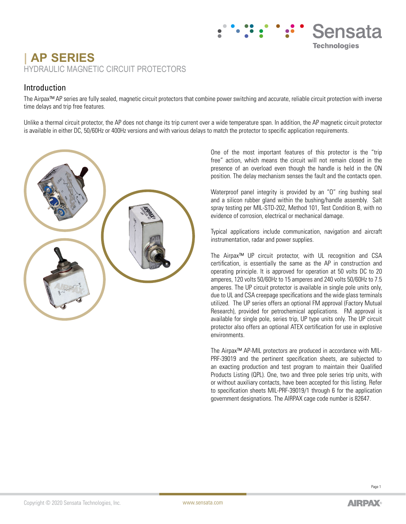# **| AP SERIES** HYDRAULIC MAGNETIC CIRCUIT PROTECTORS

#### Introduction

The Airpax™ AP series are fully sealed, magnetic circuit protectors that combine power switching and accurate, reliable circuit protection with inverse time delays and trip free features.

Unlike a thermal circuit protector, the AP does not change its trip current over a wide temperature span. In addition, the AP magnetic circuit protector is available in either DC, 50/60Hz or 400Hz versions and with various delays to match the protector to specific application requirements.



One of the most important features of this protector is the "trip free" action, which means the circuit will not remain closed in the presence of an overload even though the handle is held in the ON position. The delay mechanism senses the fault and the contacts open.

Sensata

**Technologies** 

Waterproof panel integrity is provided by an "O" ring bushing seal and a silicon rubber gland within the bushing/handle assembly. Salt spray testing per MIL-STD-202, Method 101, Test Condition B, with no evidence of corrosion, electrical or mechanical damage.

Typical applications include communication, navigation and aircraft instrumentation, radar and power supplies.

The Airpax™ UP circuit protector, with UL recognition and CSA certification, is essentially the same as the AP in construction and operating principle. It is approved for operation at 50 volts DC to 20 amperes, 120 volts 50/60Hz to 15 amperes and 240 volts 50/60Hz to 7.5 amperes. The UP circuit protector is available in single pole units only, due to UL and CSA creepage specifications and the wide glass terminals utilized. The UP series offers an optional FM approval (Factory Mutual Research), provided for petrochemical applications. FM approval is available for single pole, series trip, UP type units only. The UP circuit protector also offers an optional ATEX certification for use in explosive environments.

The Airpax™ AP-MIL protectors are produced in accordance with MIL-PRF-39019 and the pertinent specification sheets, are subjected to an exacting production and test program to maintain their Qualified Products Listing (QPL). One, two and three pole series trip units, with or without auxiliary contacts, have been accepted for this listing. Refer to specification sheets MIL-PRF-39019/1 through 6 for the application government designations. The AIRPAX cage code number is 82647.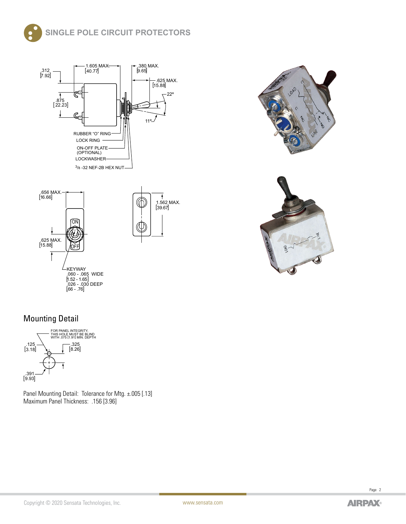





## Mounting Detail



Panel Mounting Detail: Tolerance for Mtg. ±.005 [.13] Maximum Panel Thickness: .156 [3.96]



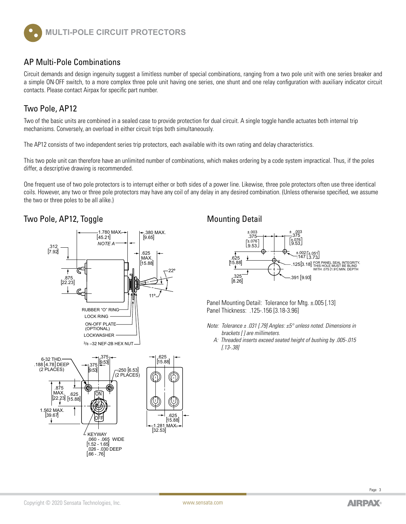

#### AP Multi-Pole Combinations

Circuit demands and design ingenuity suggest a limitless number of special combinations, ranging from a two pole unit with one series breaker and a simple ON·OFF switch, to a more complex three pole unit having one series, one shunt and one relay configuration with auxiliary indicator circuit contacts. Please contact Airpax for specific part number.

#### Two Pole, AP12

Two of the basic units are combined in a sealed case to provide protection for dual circuit. A single toggle handle actuates both internal trip mechanisms. Conversely, an overload in either circuit trips both simultaneously.

The AP12 consists of two independent series trip protectors, each available with its own rating and delay characteristics.

This two pole unit can therefore have an unlimited number of combinations, which makes ordering by a code system impractical. Thus, if the poles differ, a descriptive drawing is recommended.

One frequent use of two pole protectors is to interrupt either or both sides of a power line. Likewise, three pole protectors often use three identical coils. However, any two or three pole protectors may have any coil of any delay in any desired combination. (Unless otherwise specified, we assume the two or three poles to be all alike.)

#### Two Pole, AP12, Toggle Mounting Detail





Panel Mounting Detail: Tolerance for Mtg. ±.005 [.13] Panel Thickness: .125-.156 [3.18-3.96]

*Note: Tolerance ± .031 [.79] Angles: ±5° unless noted. Dimensions in brackets [ ] are millimeters.*

 *A: Threaded inserts exceed seated height of bushing by .005-.015 [.13-.38]*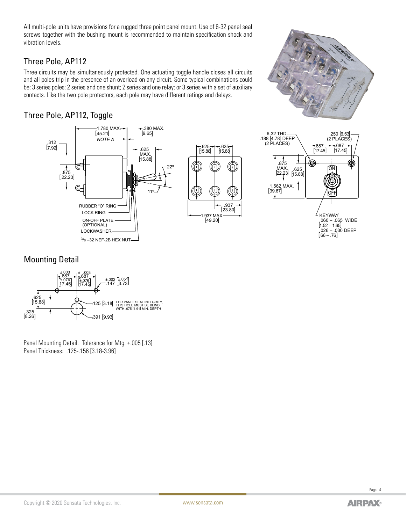All multi-pole units have provisions for a rugged three point panel mount. Use of 6-32 panel seal screws together with the bushing mount is recommended to maintain specification shock and vibration levels.

#### Three Pole, AP112

Three circuits may be simultaneously protected. One actuating toggle handle closes all circuits and all poles trip in the presence of an overload on any circuit. Some typical combinations could be: 3 series poles; 2 series and one shunt; 2 series and one relay; or 3 series with a set of auxiliary contacts. Like the two pole protectors, each pole may have different ratings and delays.

## Three Pole, AP112, Toggle



#### Mounting Detail



Panel Mounting Detail: Tolerance for Mtg. ±.005 [.13] Panel Thickness: .125-.156 [3.18-3.96]

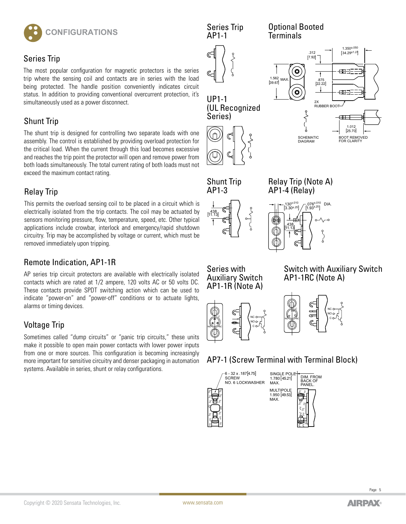

#### Series Trip

The most popular configuration for magnetic protectors is the series trip where the sensing coil and contacts are in series with the load being protected. The handle position conveniently indicates circuit status. In addition to providing conventional overcurrent protection, it's simultaneously used as a power disconnect.

#### Shunt Trip

The shunt trip is designed for controlling two separate loads with one assembly. The control is established by providing overload protection for the critical load. When the current through this load becomes excessive and reaches the trip point the protector will open and remove power from both loads simultaneously. The total current rating of both loads must not exceed the maximum contact rating.

#### Relay Trip

This permits the overload sensing coil to be placed in a circuit which is electrically isolated from the trip contacts. The coil may be actuated by sensors monitoring pressure, flow, temperature, speed, etc. Other typical applications include crowbar, interlock and emergency/rapid shutdown circuitry. Trip may be accomplished by voltage or current, which must be removed immediately upon tripping.

#### Remote Indication, AP1-1R

AP series trip circuit protectors are available with electrically isolated contacts which are rated at 1/2 ampere, 120 volts AC or 50 volts DC. These contacts provide SPDT switching action which can be used to indicate "power-on" and "power-off" conditions or to actuate lights, alarms or timing devices.

## Voltage Trip

Sometimes called "dump circuits" or "panic trip circuits," these units make it possible to open main power contacts with lower power inputs from one or more sources. This configuration is becoming increasingly more important for sensitive circuitry and denser packaging in automation systems. Available in series, shunt or relay configurations.





Shunt Trip AP1-3



Series with Auxiliary Switch AP1-1R (Note A)



Relay Trip (Note A)

Switch with Auxiliary Switch AP1-1RC (Note A)





## AP7-1 (Screw Terminal with Terminal Block)

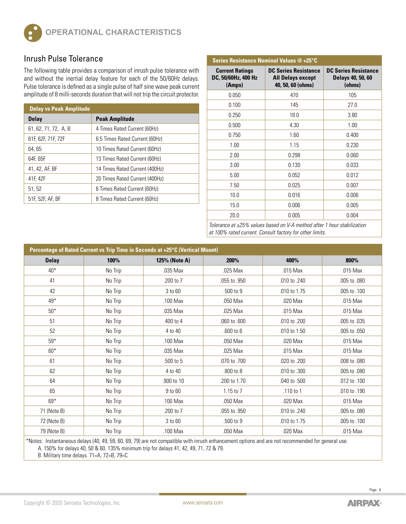

#### **Inrush Pulse Tolerance**

The following table provides a comparison of inrush pulse tolerance with and without the inertial delay feature for each of the 50/60Hz delays. Pulse tolerance is defined as a single pulse of half sine wave peak current amplitude of 8 milli-seconds duration that will not trip the circuit protector.

| <b>Delay vs Peak Amplitude</b> |                                |  |  |  |  |
|--------------------------------|--------------------------------|--|--|--|--|
| <b>Delay</b>                   | <b>Peak Amplitude</b>          |  |  |  |  |
| 61, 62, 71, 72, A, B           | 4 Times Rated Current (60Hz)   |  |  |  |  |
| 61F, 62F, 71F, 72F             | 6.5 Times Rated Current (60Hz) |  |  |  |  |
| 64, 65                         | 10 Times Rated Current (60Hz)  |  |  |  |  |
| 64F, 65F                       | 13 Times Rated Current (60Hz)  |  |  |  |  |
| 41, 42, AF, BF                 | 14 Times Rated Current (400Hz) |  |  |  |  |
| 41F, 42F                       | 20 Times Rated Current (400Hz) |  |  |  |  |
| 51, 52                         | 6 Times Rated Current (60Hz)   |  |  |  |  |
| 51F, 52F, AF, BF               | 8 Times Rated Current (60Hz)   |  |  |  |  |

| Series Resistance Nominal Values @ +25°C                |                                                                              |                                                            |  |  |  |  |
|---------------------------------------------------------|------------------------------------------------------------------------------|------------------------------------------------------------|--|--|--|--|
| <b>Current Ratings</b><br>DC, 50/60Hz, 400 Hz<br>(Amps) | <b>DC Series Resistance</b><br><b>All Delays except</b><br>40, 50, 60 (ohms) | <b>DC Series Resistance</b><br>Delays 40, 50, 60<br>(ohms) |  |  |  |  |
| 0.050                                                   | 470                                                                          | 105                                                        |  |  |  |  |
| 0.100                                                   | 145                                                                          | 27.0                                                       |  |  |  |  |
| 0.250                                                   | 18.0                                                                         | 3.80                                                       |  |  |  |  |
| 0.500                                                   | 4.30                                                                         | 1.00                                                       |  |  |  |  |
| 0.750                                                   | 1.60                                                                         | 0.400                                                      |  |  |  |  |
| 1.00                                                    | 1.15                                                                         | 0.230                                                      |  |  |  |  |
| 2.00                                                    | 0.298                                                                        | 0.060                                                      |  |  |  |  |
| 3.00                                                    | 0.130                                                                        | 0.033                                                      |  |  |  |  |
| 5.00                                                    | 0.052                                                                        | 0.012                                                      |  |  |  |  |
| 7.50                                                    | 0.025                                                                        | 0.007                                                      |  |  |  |  |
| 10.0                                                    | 0.016                                                                        | 0.006                                                      |  |  |  |  |
| 15.0                                                    | 0.006                                                                        | 0.005                                                      |  |  |  |  |
| 20.0                                                    | 0.005                                                                        | 0.004                                                      |  |  |  |  |

*Tolerance at ±25% values based on V-A method after 1 hour stabilization at 100% rated current. Consult factory for other limits.*

| Percentage of Rated Current vs Trip Time in Seconds at +25°C (Vertical Mount) |         |               |               |              |              |  |  |  |
|-------------------------------------------------------------------------------|---------|---------------|---------------|--------------|--------------|--|--|--|
| <b>Delay</b>                                                                  | 100%    | 125% (Note A) | 200%          | 400%         | 800%         |  |  |  |
| $40*$                                                                         | No Trip | .035 Max      | .025 Max      | .015 Max     | .015 Max     |  |  |  |
| 41                                                                            | No Trip | .200 to 7     | .055 to .950  | .010 to .240 | .005 to .080 |  |  |  |
| 42                                                                            | No Trip | 3 to 60       | .500 to 9     | .010 to 1.75 | .005 to .100 |  |  |  |
| 49*                                                                           | No Trip | .100 Max      | .050 Max      | .020 Max     | .015 Max     |  |  |  |
| $50*$                                                                         | No Trip | .035 Max      | .025 Max      | .015 Max     | .015 Max     |  |  |  |
| 51                                                                            | No Trip | .400 to 4     | .060 to .600  | .010 to .200 | .005 to .035 |  |  |  |
| 52                                                                            | No Trip | 4 to 40       | $.600$ to $6$ | .010 to 1.50 | .005 to .050 |  |  |  |
| $59*$                                                                         | No Trip | .100 Max      | .050 Max      | .020 Max     | .015 Max     |  |  |  |
| $60*$                                                                         | No Trip | .035 Max      | .025 Max      | .015 Max     | .015 Max     |  |  |  |
| 61                                                                            | No Trip | .500 to 5     | .070 to .700  | .020 to .200 | .008 to .080 |  |  |  |
| 62                                                                            | No Trip | 4 to 40       | .800 to 8     | .010 to .300 | .005 to .080 |  |  |  |
| 64                                                                            | No Trip | .900 to 10    | .200 to 1.70  | .040 to .500 | .012 to .100 |  |  |  |
| 65                                                                            | No Trip | 9 to 60       | 1.15 to 7     | .110 to 1    | .010 to .190 |  |  |  |
| $69*$                                                                         | No Trip | .100 Max      | .050 Max      | .020 Max     | .015 Max     |  |  |  |
| 71 (Note B)                                                                   | No Trip | .200 to 7     | .055 to .950  | .010 to .240 | .005 to .080 |  |  |  |
| 72 (Note B)                                                                   | No Trip | 3 to 60       | .500 to 9     | .010 to 1.75 | .005 to .100 |  |  |  |
| 79 (Note B)                                                                   | No Trip | .100 Max      | .050 Max      | .020 Max     | .015 Max     |  |  |  |

\*Notes: Instantaneous delays (40, 49, 59, 60, 69, 79) are not compatible with inrush enhancement options and are not recommended for general use.

A. 150% for delays 40, 50 & 60. 135% minimum trip for delays 41, 42, 49, 71, 72 & 79.

B. Military time delays. 71=A, 72=B, 79=C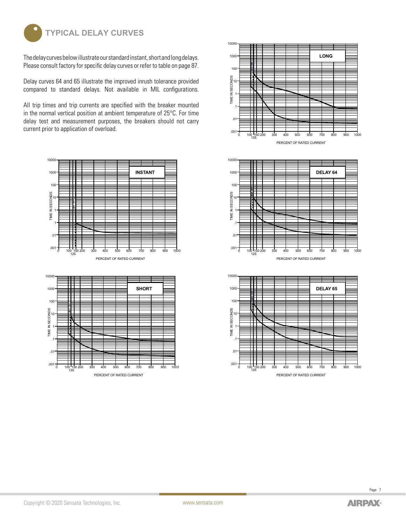

The delay curves below illustrate our standard instant, short and long delays. Please consult factory for specific delay curves or refer to table on page 87.

Delay curves 64 and 65 illustrate the improved inrush tolerance provided compared to standard delays. Not available in MIL configurations.

All trip times and trip currents are specified with the breaker mounted in the normal vertical position at ambient temperature of 25°C. For time delay test and measurement purposes, the breakers should not carry current prior to application of overload.









PERCENT OF RATED CURRENT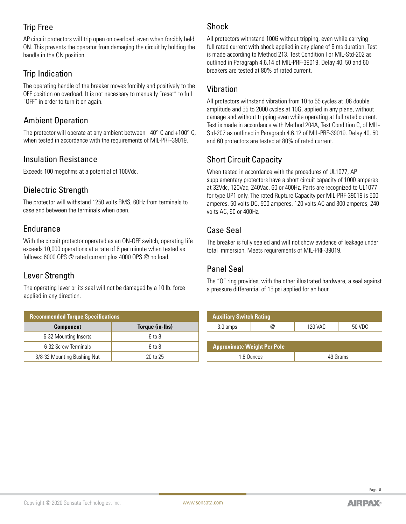#### Trip Free

AP circuit protectors will trip open on overload, even when forcibly held ON. This prevents the operator from damaging the circuit by holding the handle in the ON position.

#### Trip Indication

The operating handle of the breaker moves forcibly and positively to the OFF position on overload. It is not necessary to manually "reset" to full "OFF" in order to turn it on again.

#### Ambient Operation

The protector will operate at any ambient between –40° C and +100° C, when tested in accordance with the requirements of MIL-PRF-39019.

#### Insulation Resistance

Exceeds 100 megohms at a potential of 100Vdc.

#### Dielectric Strength

The protector will withstand 1250 volts RMS, 60Hz from terminals to case and between the terminals when open.

#### Endurance

With the circuit protector operated as an ON-OFF switch, operating life exceeds 10,000 operations at a rate of 6 per minute when tested as follows: 6000 OPS @ rated current plus 4000 OPS @ no load.

#### Lever Strength

The operating lever or its seal will not be damaged by a 10 lb. force applied in any direction.

| <b>Recommended Torque Specifications</b> |                 |  |  |  |
|------------------------------------------|-----------------|--|--|--|
| <b>Component</b>                         | Torque (in-Ibs) |  |  |  |
| 6-32 Mounting Inserts                    | 6 to 8          |  |  |  |
| 6-32 Screw Terminals                     | 6 to 8          |  |  |  |
| 3/8-32 Mounting Bushing Nut              | 20 to 25        |  |  |  |

#### Shock

All protectors withstand 100G without tripping, even while carrying full rated current with shock applied in any plane of 6 ms duration. Test is made according to Method 213, Test Condition I or MIL-Std-202 as outlined in Paragraph 4.6.14 of MIL-PRF-39019. Delay 40, 50 and 60 breakers are tested at 80% of rated current.

#### Vibration

All protectors withstand vibration from 10 to 55 cycles at .06 double amplitude and 55 to 2000 cycles at 10G, applied in any plane, without damage and without tripping even while operating at full rated current. Test is made in accordance with Method 204A, Test Condition C, of MIL-Std-202 as outlined in Paragraph 4.6.12 of MIL-PRF-39019. Delay 40, 50 and 60 protectors are tested at 80% of rated current.

## Short Circuit Capacity

When tested in accordance with the procedures of UL1077, AP supplementary protectors have a short circuit capacity of 1000 amperes at 32Vdc, 120Vac, 240Vac, 60 or 400Hz. Parts are recognized to UL1077 for type UP1 only. The rated Rupture Capacity per MIL-PRF-39019 is 500 amperes, 50 volts DC, 500 amperes, 120 volts AC and 300 amperes, 240 volts AC, 60 or 400Hz.

#### Case Seal

The breaker is fully sealed and will not show evidence of leakage under total immersion. Meets requirements of MIL-PRF-39019.

## Panel Seal

The "O" ring provides, with the other illustrated hardware, a seal against a pressure differential of 15 psi applied for an hour.

| <b>Auxiliary Switch Rating</b>     |            |         |          |  |  |  |  |
|------------------------------------|------------|---------|----------|--|--|--|--|
| 3.0 amps                           |            | 120 VAC | 50 VDC   |  |  |  |  |
|                                    |            |         |          |  |  |  |  |
| <b>Approximate Weight Per Pole</b> |            |         |          |  |  |  |  |
|                                    | 1.8 Qunces |         | 49 Grams |  |  |  |  |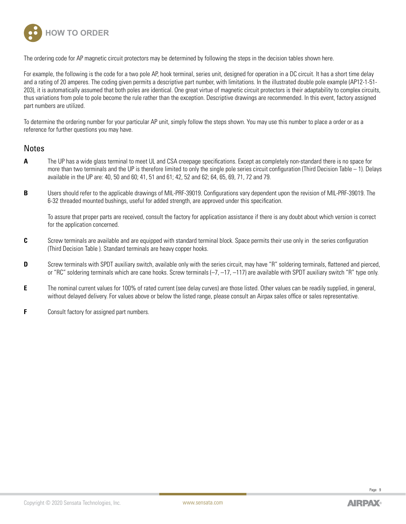

The ordering code for AP magnetic circuit protectors may be determined by following the steps in the decision tables shown here.

For example, the following is the code for a two pole AP, hook terminal, series unit, designed for operation in a DC circuit. It has a short time delay and a rating of 20 amperes. The coding given permits a descriptive part number, with limitations. In the illustrated double pole example (AP12-1-51- 203), it is automatically assumed that both poles are identical. One great virtue of magnetic circuit protectors is their adaptability to complex circuits, thus variations from pole to pole become the rule rather than the exception. Descriptive drawings are recommended. In this event, factory assigned part numbers are utilized.

To determine the ordering number for your particular AP unit, simply follow the steps shown. You may use this number to place a order or as a reference for further questions you may have.

#### **Notes**

- **A** The UP has a wide glass terminal to meet UL and CSA creepage specifications. Except as completely non-standard there is no space for more than two terminals and the UP is therefore limited to only the single pole series circuit configuration (Third Decision Table – 1). Delays available in the UP are: 40, 50 and 60; 41, 51 and 61; 42, 52 and 62; 64, 65, 69, 71, 72 and 79.
- **B** Users should refer to the applicable drawings of MIL-PRF-39019. Configurations vary dependent upon the revision of MIL-PRF-39019. The 6-32 threaded mounted bushings, useful for added strength, are approved under this specification.

 To assure that proper parts are received, consult the factory for application assistance if there is any doubt about which version is correct for the application concerned.

- **C** Screw terminals are available and are equipped with standard terminal block. Space permits their use only in the series configuration (Third Decision Table ). Standard terminals are heavy copper hooks.
- **D** Screw terminals with SPDT auxiliary switch, available only with the series circuit, may have "R" soldering terminals, flattened and pierced, or "RC" soldering terminals which are cane hooks. Screw terminals  $(-7, -17, -117)$  are available with SPDT auxiliary switch "R" type only.
- **E** The nominal current values for 100% of rated current (see delay curves) are those listed. Other values can be readily supplied, in general, without delayed delivery. For values above or below the listed range, please consult an Airpax sales office or sales representative.
- **F** Consult factory for assigned part numbers.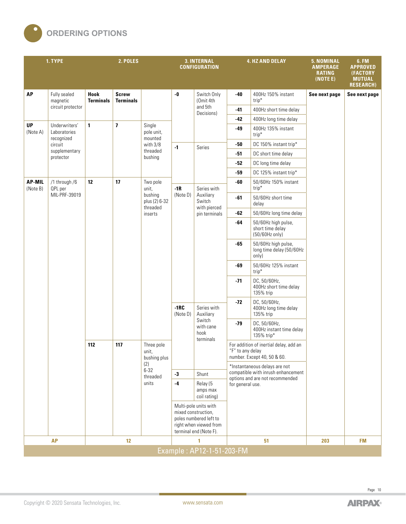

|                           | 1. TYPE                                     |                          | 2. POLES                         |                                      | <b>3. INTERNAL</b><br><b>CONFIGURATION</b> |                                                                                                     |                  | <b>4. HZ AND DELAY</b>                                                | 5. NOMINAL<br><b>AMPERAGE</b><br><b>RATING</b><br>(NOTEE) | <b>6. FM</b><br><b>APPROVED</b><br>(FACTORY<br><b>MUTUAL</b><br><b>RESEARCH)</b> |                          |     |                                                    |  |  |  |  |     |                                 |  |  |       |                                                     |
|---------------------------|---------------------------------------------|--------------------------|----------------------------------|--------------------------------------|--------------------------------------------|-----------------------------------------------------------------------------------------------------|------------------|-----------------------------------------------------------------------|-----------------------------------------------------------|----------------------------------------------------------------------------------|--------------------------|-----|----------------------------------------------------|--|--|--|--|-----|---------------------------------|--|--|-------|-----------------------------------------------------|
| <b>AP</b>                 | Fully sealed<br>magnetic                    | Hook<br><b>Terminals</b> | <b>Screw</b><br><b>Terminals</b> |                                      | $\textbf{-0}$                              | Switch Only<br>(Omit 4th                                                                            | $-40$            | 400Hz 150% instant<br>$trip*$                                         | See next page                                             | See next page                                                                    |                          |     |                                                    |  |  |  |  |     |                                 |  |  |       |                                                     |
|                           | circuit protector                           |                          |                                  |                                      |                                            | and 5th<br>Decisions)                                                                               | $-41$            | 400Hz short time delay                                                |                                                           |                                                                                  |                          |     |                                                    |  |  |  |  |     |                                 |  |  |       |                                                     |
|                           |                                             |                          |                                  |                                      |                                            |                                                                                                     | -42              | 400Hz long time delay                                                 |                                                           |                                                                                  |                          |     |                                                    |  |  |  |  |     |                                 |  |  |       |                                                     |
| UP<br>(Note A)            | Underwriters'<br>Laboratories<br>recognized | 1                        | $\overline{1}$                   | Single<br>pole unit,<br>mounted      |                                            |                                                                                                     | $-49$            | 400Hz 135% instant<br>trip*                                           |                                                           |                                                                                  |                          |     |                                                    |  |  |  |  |     |                                 |  |  |       |                                                     |
|                           | circuit                                     |                          |                                  | with 3/8                             | $-1$                                       | Series                                                                                              | -50              | DC 150% instant trip*                                                 |                                                           |                                                                                  |                          |     |                                                    |  |  |  |  |     |                                 |  |  |       |                                                     |
|                           | supplementary<br>protector                  |                          |                                  | threaded<br>bushing                  |                                            |                                                                                                     | $-51$            | DC short time delay                                                   |                                                           |                                                                                  |                          |     |                                                    |  |  |  |  |     |                                 |  |  |       |                                                     |
|                           |                                             |                          |                                  |                                      |                                            |                                                                                                     | -52              | DC long time delay                                                    |                                                           |                                                                                  |                          |     |                                                    |  |  |  |  |     |                                 |  |  |       |                                                     |
|                           |                                             |                          |                                  |                                      |                                            |                                                                                                     | $-59$            | DC 125% instant trip*                                                 |                                                           |                                                                                  |                          |     |                                                    |  |  |  |  |     |                                 |  |  |       |                                                     |
| <b>AP-MIL</b><br>(Note B) | /1 through /6<br>QPL per                    | 12                       | 17                               | Two pole<br>unit,                    | $-1R$                                      | Series with                                                                                         | -60              | 50/60Hz 150% instant<br>$trip*$                                       |                                                           |                                                                                  |                          |     |                                                    |  |  |  |  |     |                                 |  |  |       |                                                     |
|                           | MIL-PRF-39019                               |                          |                                  | bushing<br>plus (2) 6-32<br>threaded | (Note D)                                   | Auxiliary<br>Switch<br>with pierced                                                                 | $-61$            | 50/60Hz short time<br>delay                                           |                                                           |                                                                                  |                          |     |                                                    |  |  |  |  |     |                                 |  |  |       |                                                     |
|                           |                                             |                          |                                  | inserts                              |                                            | pin terminals                                                                                       | $-62$            | 50/60Hz long time delay                                               |                                                           |                                                                                  |                          |     |                                                    |  |  |  |  |     |                                 |  |  |       |                                                     |
|                           |                                             |                          |                                  |                                      |                                            |                                                                                                     | -64              | 50/60Hz high pulse,<br>short time delay<br>(50/60Hz only)             |                                                           |                                                                                  |                          |     |                                                    |  |  |  |  |     |                                 |  |  |       |                                                     |
|                           |                                             |                          |                                  |                                      |                                            |                                                                                                     | $-65$            | 50/60Hz high pulse,<br>long time delay (50/60Hz<br>only)              |                                                           |                                                                                  |                          |     |                                                    |  |  |  |  |     |                                 |  |  |       |                                                     |
|                           |                                             |                          |                                  |                                      |                                            |                                                                                                     |                  |                                                                       |                                                           |                                                                                  |                          |     |                                                    |  |  |  |  | -69 | 50/60Hz 125% instant<br>$trip*$ |  |  |       |                                                     |
|                           |                                             |                          |                                  |                                      |                                            |                                                                                                     |                  |                                                                       |                                                           |                                                                                  |                          |     |                                                    |  |  |  |  |     |                                 |  |  | $-71$ | DC, 50/60Hz,<br>400Hz short time delay<br>135% trip |
|                           |                                             |                          |                                  |                                      | $-1RC$<br>(Note D)                         |                                                                                                     |                  |                                                                       |                                                           |                                                                                  | Series with<br>Auxiliary | -72 | DC, 50/60Hz,<br>400Hz long time delay<br>135% trip |  |  |  |  |     |                                 |  |  |       |                                                     |
|                           | 112                                         |                          |                                  | Three pole<br>unit,<br>bushing plus  |                                            | Switch<br>with cane<br>hook<br>terminals                                                            | $-79$            | DC, 50/60Hz,<br>400Hz instant time delay<br>135% trip*                |                                                           |                                                                                  |                          |     |                                                    |  |  |  |  |     |                                 |  |  |       |                                                     |
|                           |                                             |                          | 117                              |                                      |                                            |                                                                                                     | "F" to any delay | For addition of inertial delay, add an<br>number. Except 40, 50 & 60. |                                                           |                                                                                  |                          |     |                                                    |  |  |  |  |     |                                 |  |  |       |                                                     |
|                           |                                             |                          |                                  | (2)<br>$6 - 32$                      |                                            |                                                                                                     |                  | *Instantaneous delays are not<br>compatible with inrush enhancement   |                                                           |                                                                                  |                          |     |                                                    |  |  |  |  |     |                                 |  |  |       |                                                     |
|                           |                                             |                          |                                  | threaded                             | $-3$                                       | Shunt                                                                                               |                  | options and are not recommended                                       |                                                           |                                                                                  |                          |     |                                                    |  |  |  |  |     |                                 |  |  |       |                                                     |
|                           |                                             |                          | units                            |                                      | $-4$                                       | Relay (5<br>amps max<br>coil rating)                                                                | for general use. |                                                                       |                                                           |                                                                                  |                          |     |                                                    |  |  |  |  |     |                                 |  |  |       |                                                     |
|                           |                                             |                          |                                  |                                      | mixed construction,                        | Multi-pole units with<br>poles numbered left to<br>right when viewed from<br>terminal end (Note F). |                  |                                                                       |                                                           |                                                                                  |                          |     |                                                    |  |  |  |  |     |                                 |  |  |       |                                                     |
|                           | <b>AP</b>                                   |                          | 12                               |                                      |                                            | 1                                                                                                   |                  | 51                                                                    | 203                                                       | <b>FM</b>                                                                        |                          |     |                                                    |  |  |  |  |     |                                 |  |  |       |                                                     |
|                           | Example: AP12-1-51-203-FM                   |                          |                                  |                                      |                                            |                                                                                                     |                  |                                                                       |                                                           |                                                                                  |                          |     |                                                    |  |  |  |  |     |                                 |  |  |       |                                                     |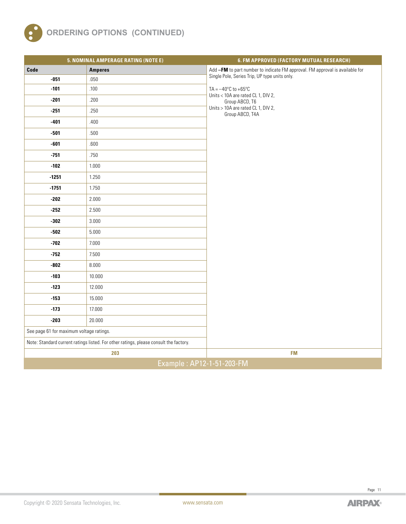

|                                          | 5. NOMINAL AMPERAGE RATING (NOTE E)                                                   | 6. FM APPROVED (FACTORY MUTUAL RESEARCH)                                      |  |  |  |  |
|------------------------------------------|---------------------------------------------------------------------------------------|-------------------------------------------------------------------------------|--|--|--|--|
| Code                                     | <b>Amperes</b>                                                                        | Add -FM to part number to indicate FM approval. FM approval is available for  |  |  |  |  |
| $-051$                                   | .050                                                                                  | Single Pole, Series Trip, UP type units only.                                 |  |  |  |  |
| $-101$                                   | .100                                                                                  | TA = $-40^{\circ}$ C to $+65^{\circ}$ C<br>Units < 10A are rated CL 1, DIV 2, |  |  |  |  |
| $-201$                                   | .200                                                                                  | Group ABCD, T6                                                                |  |  |  |  |
| $-251$                                   | .250                                                                                  | Units > 10A are rated CL 1, DIV 2,<br>Group ABCD, T4A                         |  |  |  |  |
| $-401$                                   | .400                                                                                  |                                                                               |  |  |  |  |
| $-501$                                   | .500                                                                                  |                                                                               |  |  |  |  |
| $-601$                                   | .600                                                                                  |                                                                               |  |  |  |  |
| $-751$                                   | .750                                                                                  |                                                                               |  |  |  |  |
| $-102$                                   | 1.000                                                                                 |                                                                               |  |  |  |  |
| $-1251$                                  | 1.250                                                                                 |                                                                               |  |  |  |  |
| $-1751$                                  | 1.750                                                                                 |                                                                               |  |  |  |  |
| $-202$                                   | 2.000                                                                                 |                                                                               |  |  |  |  |
| $-252$                                   | 2.500                                                                                 |                                                                               |  |  |  |  |
| $-302$                                   | 3.000                                                                                 |                                                                               |  |  |  |  |
| $-502$                                   | 5.000                                                                                 |                                                                               |  |  |  |  |
| -702                                     | 7.000                                                                                 |                                                                               |  |  |  |  |
| $-752$                                   | 7.500                                                                                 |                                                                               |  |  |  |  |
| $-802$                                   | 8.000                                                                                 |                                                                               |  |  |  |  |
| $-103$                                   | 10.000                                                                                |                                                                               |  |  |  |  |
| $-123$                                   | 12.000                                                                                |                                                                               |  |  |  |  |
| $-153$                                   | 15.000                                                                                |                                                                               |  |  |  |  |
| $-173$                                   | 17.000                                                                                |                                                                               |  |  |  |  |
| $-203$                                   | 20.000                                                                                |                                                                               |  |  |  |  |
| See page 61 for maximum voltage ratings. |                                                                                       |                                                                               |  |  |  |  |
|                                          | Note: Standard current ratings listed. For other ratings, please consult the factory. |                                                                               |  |  |  |  |
|                                          | 203                                                                                   | <b>FM</b>                                                                     |  |  |  |  |
| Example: AP12-1-51-203-FM                |                                                                                       |                                                                               |  |  |  |  |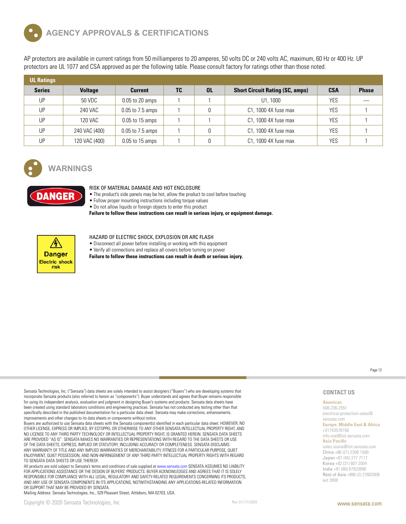

AP protectors are available in current ratings from 50 milliamperes to 20 amperes, 50 volts DC or 240 volts AC, maximum, 60 Hz or 400 Hz. UP protectors are UL 1077 and CSA approved as per the following table. Please consult factory for ratings other than those noted.

| <b>UL Ratings</b> |                |                      |    |           |                                        |            |              |
|-------------------|----------------|----------------------|----|-----------|----------------------------------------|------------|--------------|
| <b>Series</b>     | <b>Voltage</b> | <b>Current</b>       | TC | <b>OL</b> | <b>Short Circuit Rating (SC, amps)</b> | <b>CSA</b> | <b>Phase</b> |
| UP                | 50 VDC         | $0.05$ to 20 amps    |    |           | U1, 1000                               | YES        |              |
| UP                | 240 VAC        | 0.05 to 7.5 amps     |    |           | C1, 1000 4X fuse max                   | YES        |              |
| UP                | 120 VAC        | $0.05$ to 15 amps    |    |           | C1, 1000 4X fuse max                   | YES        |              |
| UP                | 240 VAC (400)  | $0.05$ to $7.5$ amps |    |           | C1, 1000 4X fuse max                   | YES        |              |
| UP                | 120 VAC (400)  | $0.05$ to 15 amps    |    |           | C1, 1000 4X fuse max                   | YES        |              |



#### **WARNINGS**



#### RISK OF MATERIAL DAMAGE AND HOT ENCLOSURE

• The product's side panels may be hot, allow the product to cool before touching

• Follow proper mounting instructions including torque values

• Do not allow liquids or foreign objects to enter this product

**Failure to follow these instructions can result in serious injury, or equipment damage.**



#### HAZARD OF ELECTRIC SHOCK, EXPLOSION OR ARC FLASH

• Disconnect all power before installing or working with this equipment • Verify all connections and replace all covers before turning on power

**Failure to follow these instructions can result in death or serious injury.**

Page 12

Sensata Technologies, Inc. ("Sensata") data sheets are solely intended to assist designers ("Buyers") who are developing systems that incorporate Sensata products (also referred to herein as "components"). Buyer understands and agrees that Buyer remains responsible for using its independent analysis, evaluation and judgment in designing Buyer's systems and products. Sensata data sheets have been created using standard laboratory conditions and engineering practices. Sensata has not conducted any testing other than that specifically described in the published documentation for a particular data sheet. Sensata may make corrections, enhancements, improvements and other changes to its data sheets or components without notice.

Buyers are authorized to use Sensata data sheets with the Sensata component(s) identified in each particular data sheet. HOWEVER, NO OTHER LICENSE, EXPRESS OR IMPLIED, BY ESTOPPEL OR OTHERWISE TO ANY OTHER SENSATA INTELLECTUAL PROPERTY RIGHT, AND NO LICENSE TO ANY THIRD PARTY TECHNOLOGY OR INTELLECTUAL PROPERTY RIGHT, IS GRANTED HEREIN. SENSATA DATA SHEETS ARE PROVIDED "AS IS". SENSATA MAKES NO WARRANTIES OR REPRESENTATIONS WITH REGARD TO THE DATA SHEETS OR USE OF THE DATA SHEETS, EXPRESS, IMPLIED OR STATUTORY, INCLUDING ACCURACY OR COMPLETENESS. SENSATA DISCLAIMS ANY WARRANTY OF TITLE AND ANY IMPLIED WARRANTIES OF MERCHANTABILITY, FITNESS FOR A PARTICULAR PURPOSE, QUIET ENJOYMENT, QUIET POSSESSION, AND NON-INFRINGEMENT OF ANY THIRD PARTY INTELLECTUAL PROPERTY RIGHTS WITH REGARD TO SENSATA DATA SHEETS OR USE THEREOF.

All products are sold subject to Sensata's terms and conditions of sale supplied at www.sensata.com SENSATA ASSUMES NO LIABILITY FOR APPLICATIONS ASSISTANCE OR THE DESIGN OF BUYERS' PRODUCTS. BUYER ACKNOWLEDGES AND AGREES THAT IT IS SOLELY RESPONSIBLE FOR COMPLIANCE WITH ALL LEGAL, REGULATORY AND SAFETY-RELATED REQUIREMENTS CONCERNING ITS PRODUCTS, AND ANY USE OF SENSATA COMPONENTS IN ITS APPLICATIONS, NOTWITHSTANDING ANY APPLICATIONS-RELATED INFORMATION OR SUPPORT THAT MAY BE PROVIDED BY SENSATA.

Mailing Address: Sensata Technologies, Inc., 529 Pleasant Street, Attleboro, MA 02703, USA.

#### **CONTACT US**

#### **Americas**

508-236-2551 electrical-protection-sales@ sensata.com

**Europe, Middle East & Africa** +31743578156 info-sse@list.sensata.com

**Asia Pacific**

sales.isasia@list.sensata.com China +86 (21) 2306 1500 Japan +81 (45) 277 7117 Korea +82 (31) 601 2004 India +91 (80) 67920890 Rest of Asia +886 (2) 27602006 ext 2808